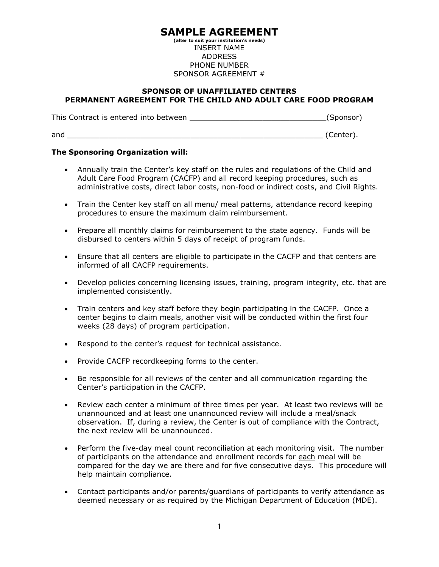## **SAMPLE AGREEMENT**

**(alter to suit your institution's needs)**  INSERT NAME ADDRESS PHONE NUMBER SPONSOR AGREEMENT #

## **SPONSOR OF UNAFFILIATED CENTERS PERMANENT AGREEMENT FOR THE CHILD AND ADULT CARE FOOD PROGRAM**

This Contract is entered into between \_\_\_\_\_\_\_\_\_\_\_\_\_\_\_\_\_\_\_\_\_\_\_\_\_\_\_\_\_\_(Sponsor)

and the contract of the contract of the contract of the contract of the contract of the contract of the contract of the contract of the contract of the contract of the contract of the contract of the contract of the contra

## **The Sponsoring Organization will:**

- Annually train the Center's key staff on the rules and regulations of the Child and Adult Care Food Program (CACFP) and all record keeping procedures, such as administrative costs, direct labor costs, non-food or indirect costs, and Civil Rights.
- Train the Center key staff on all menu/ meal patterns, attendance record keeping procedures to ensure the maximum claim reimbursement.
- Prepare all monthly claims for reimbursement to the state agency. Funds will be disbursed to centers within 5 days of receipt of program funds.
- Ensure that all centers are eligible to participate in the CACFP and that centers are informed of all CACFP requirements.
- Develop policies concerning licensing issues, training, program integrity, etc. that are implemented consistently.
- Train centers and key staff before they begin participating in the CACFP. Once a center begins to claim meals, another visit will be conducted within the first four weeks (28 days) of program participation.
- Respond to the center's request for technical assistance.
- Provide CACFP recordkeeping forms to the center.
- Be responsible for all reviews of the center and all communication regarding the Center's participation in the CACFP.
- Review each center a minimum of three times per year. At least two reviews will be unannounced and at least one unannounced review will include a meal/snack observation. If, during a review, the Center is out of compliance with the Contract, the next review will be unannounced.
- Perform the five-day meal count reconciliation at each monitoring visit. The number of participants on the attendance and enrollment records for each meal will be compared for the day we are there and for five consecutive days. This procedure will help maintain compliance.
- Contact participants and/or parents/guardians of participants to verify attendance as deemed necessary or as required by the Michigan Department of Education (MDE).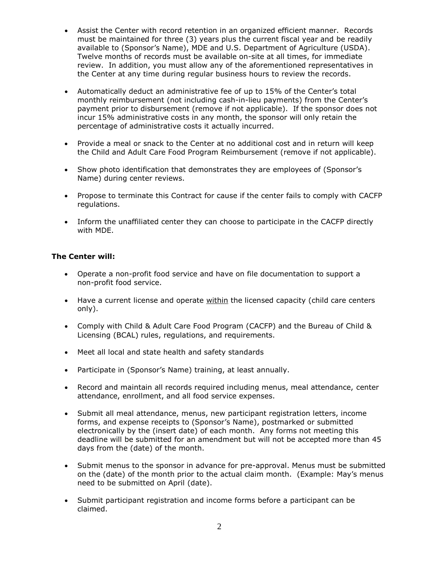- Assist the Center with record retention in an organized efficient manner. Records must be maintained for three (3) years plus the current fiscal year and be readily available to (Sponsor's Name), MDE and U.S. Department of Agriculture (USDA). Twelve months of records must be available on-site at all times, for immediate review. In addition, you must allow any of the aforementioned representatives in the Center at any time during regular business hours to review the records.
- Automatically deduct an administrative fee of up to 15% of the Center's total monthly reimbursement (not including cash-in-lieu payments) from the Center's payment prior to disbursement (remove if not applicable). If the sponsor does not incur 15% administrative costs in any month, the sponsor will only retain the percentage of administrative costs it actually incurred.
- Provide a meal or snack to the Center at no additional cost and in return will keep the Child and Adult Care Food Program Reimbursement (remove if not applicable).
- Show photo identification that demonstrates they are employees of (Sponsor's Name) during center reviews.
- Propose to terminate this Contract for cause if the center fails to comply with CACFP regulations.
- Inform the unaffiliated center they can choose to participate in the CACFP directly with MDE.

## **The Center will:**

- Operate a non-profit food service and have on file documentation to support a non-profit food service.
- Have a current license and operate within the licensed capacity (child care centers only).
- Comply with Child & Adult Care Food Program (CACFP) and the Bureau of Child & Licensing (BCAL) rules, regulations, and requirements.
- Meet all local and state health and safety standards
- Participate in (Sponsor's Name) training, at least annually.
- Record and maintain all records required including menus, meal attendance, center attendance, enrollment, and all food service expenses.
- Submit all meal attendance, menus, new participant registration letters, income forms, and expense receipts to (Sponsor's Name), postmarked or submitted electronically by the (insert date) of each month. Any forms not meeting this deadline will be submitted for an amendment but will not be accepted more than 45 days from the (date) of the month.
- Submit menus to the sponsor in advance for pre-approval. Menus must be submitted on the (date) of the month prior to the actual claim month. (Example: May's menus need to be submitted on April (date).
- Submit participant registration and income forms before a participant can be claimed.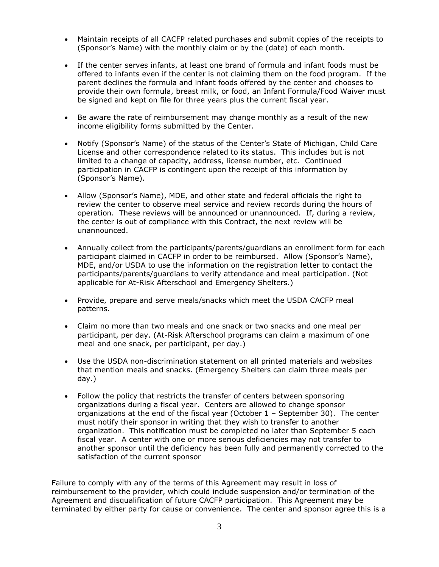- Maintain receipts of all CACFP related purchases and submit copies of the receipts to (Sponsor's Name) with the monthly claim or by the (date) of each month.
- If the center serves infants, at least one brand of formula and infant foods must be offered to infants even if the center is not claiming them on the food program. If the parent declines the formula and infant foods offered by the center and chooses to provide their own formula, breast milk, or food, an Infant Formula/Food Waiver must be signed and kept on file for three years plus the current fiscal year.
- Be aware the rate of reimbursement may change monthly as a result of the new income eligibility forms submitted by the Center.
- Notify (Sponsor's Name) of the status of the Center's State of Michigan, Child Care License and other correspondence related to its status. This includes but is not limited to a change of capacity, address, license number, etc. Continued participation in CACFP is contingent upon the receipt of this information by (Sponsor's Name).
- Allow (Sponsor's Name), MDE, and other state and federal officials the right to review the center to observe meal service and review records during the hours of operation. These reviews will be announced or unannounced. If, during a review, the center is out of compliance with this Contract, the next review will be unannounced.
- Annually collect from the participants/parents/guardians an enrollment form for each participant claimed in CACFP in order to be reimbursed. Allow (Sponsor's Name), MDE, and/or USDA to use the information on the registration letter to contact the participants/parents/guardians to verify attendance and meal participation. (Not applicable for At-Risk Afterschool and Emergency Shelters.)
- Provide, prepare and serve meals/snacks which meet the USDA CACFP meal patterns.
- Claim no more than two meals and one snack or two snacks and one meal per participant, per day. (At-Risk Afterschool programs can claim a maximum of one meal and one snack, per participant, per day.)
- Use the USDA non-discrimination statement on all printed materials and websites that mention meals and snacks. (Emergency Shelters can claim three meals per day.)
- Follow the policy that restricts the transfer of centers between sponsoring organizations during a fiscal year. Centers are allowed to change sponsor organizations at the end of the fiscal year (October 1 – September 30). The center must notify their sponsor in writing that they wish to transfer to another organization. This notification must be completed no later than September 5 each fiscal year. A center with one or more serious deficiencies may not transfer to another sponsor until the deficiency has been fully and permanently corrected to the satisfaction of the current sponsor

Failure to comply with any of the terms of this Agreement may result in loss of reimbursement to the provider, which could include suspension and/or termination of the Agreement and disqualification of future CACFP participation. This Agreement may be terminated by either party for cause or convenience. The center and sponsor agree this is a